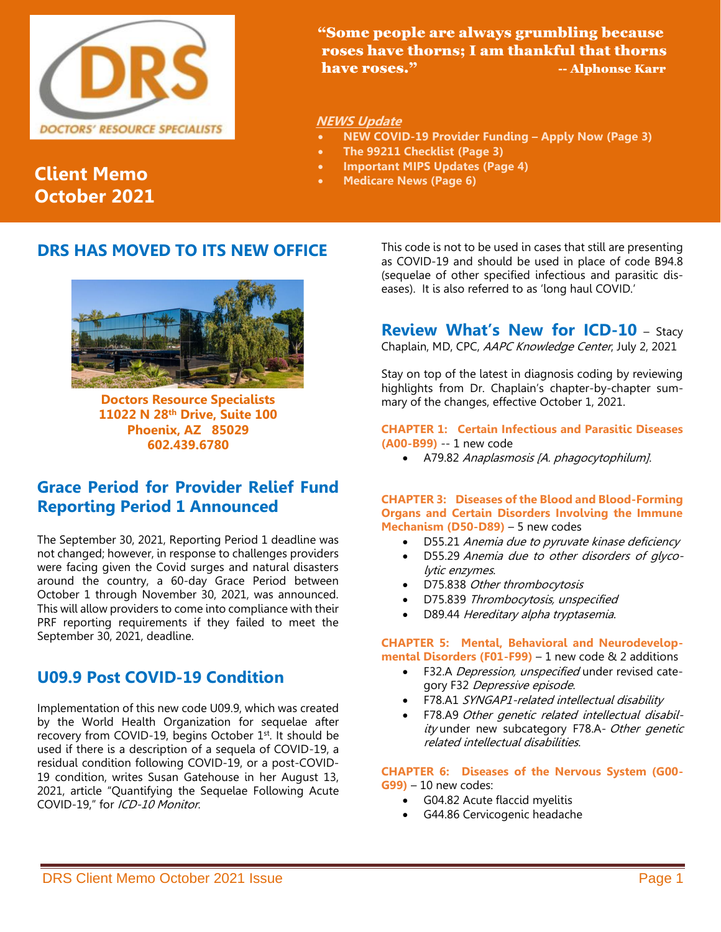

 "Some people are always grumbling because roses have thorns; I am thankful that thorns have roses." The Contraction of the Alphonse Karr

#### **NEWS Update**

- **NEW COVID-19 Provider Funding – Apply Now (Page 3)**
- **The 99211 Checklist (Page 3)**
- **Important MIPS Updates (Page 4)**
- **Medicare News (Page 6)**

# **Client Memo October 2021**

### **DRS HAS MOVED TO ITS NEW OFFICE**



**Doctors Resource Specialists 11022 N 28th Drive, Suite 100 Phoenix, AZ 85029 602.439.6780**

## **Grace Period for Provider Relief Fund Reporting Period 1 Announced**

The September 30, 2021, Reporting Period 1 deadline was not changed; however, in response to challenges providers were facing given the Covid surges and natural disasters around the country, a 60-day Grace Period between October 1 through November 30, 2021, was announced. This will allow providers to come into compliance with their PRF reporting requirements if they failed to meet the September 30, 2021, deadline.

# **U09.9 Post COVID-19 Condition**

Implementation of this new code U09.9, which was created by the World Health Organization for sequelae after recovery from COVID-19, begins October 1st. It should be used if there is a description of a sequela of COVID-19, a residual condition following COVID-19, or a post-COVID-19 condition, writes Susan Gatehouse in her August 13, 2021, article "Quantifying the Sequelae Following Acute COVID-19," for ICD-10 Monitor.

This code is not to be used in cases that still are presenting as COVID-19 and should be used in place of code B94.8 (sequelae of other specified infectious and parasitic diseases). It is also referred to as 'long haul COVID.'

## **Review What's New for ICD-10** – Stacy

Chaplain, MD, CPC, AAPC Knowledge Center, July 2, 2021

Stay on top of the latest in diagnosis coding by reviewing highlights from Dr. Chaplain's chapter-by-chapter summary of the changes, effective October 1, 2021.

### **CHAPTER 1: Certain Infectious and Parasitic Diseases**

- **(A00-B99)** -- 1 new code
	- A79.82 Anaplasmosis [A. phagocytophilum].

#### **CHAPTER 3: Diseases of the Blood and Blood-Forming Organs and Certain Disorders Involving the Immune Mechanism (D50-D89)** – 5 new codes

- D55.21 Anemia due to pyruvate kinase deficiency
- D55.29 Anemia due to other disorders of glycolytic enzymes.
- D75.838 Other thrombocytosis
- D75.839 Thrombocytosis, unspecified
- D89.44 Hereditary alpha tryptasemia.

#### **CHAPTER 5: Mental, Behavioral and Neurodevelopmental Disorders (F01-F99)** – 1 new code & 2 additions

- F32.A Depression, unspecified under revised category F32 Depressive episode.
- F78.A1 SYNGAP1-related intellectual disability
- F78.A9 Other genetic related intellectual disability under new subcategory F78.A- Other genetic related intellectual disabilities.

**CHAPTER 6: Diseases of the Nervous System (G00- G99)** – 10 new codes:

- G04.82 Acute flaccid myelitis
- G44.86 Cervicogenic headache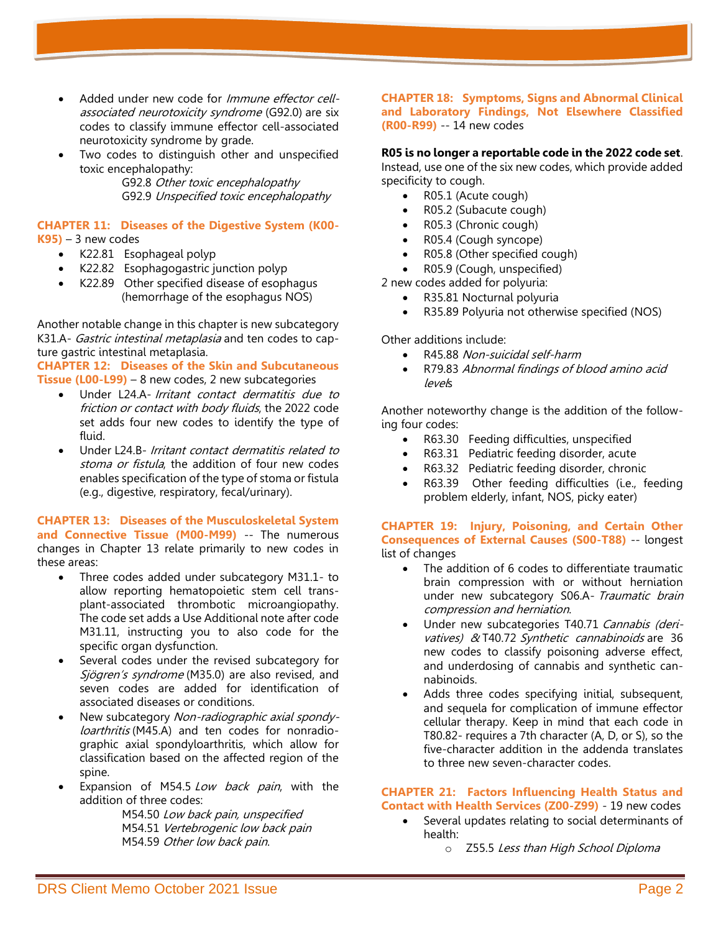- Added under new code for *Immune effector cell*associated neurotoxicity syndrome (G92.0) are six codes to classify immune effector cell-associated neurotoxicity syndrome by grade.
- Two codes to distinguish other and unspecified toxic encephalopathy:

G92.8 Other toxic encephalopathy G92.9 Unspecified toxic encephalopathy

# **CHAPTER 11: Diseases of the Digestive System (K00-**

 $K95$ ) – 3 new codes

- K22.81 Esophageal polyp
- K22.82 Esophagogastric junction polyp
- K22.89 Other specified disease of esophagus (hemorrhage of the esophagus NOS)

Another notable change in this chapter is new subcategory K31.A- Gastric intestinal metaplasia and ten codes to capture gastric intestinal metaplasia.

**CHAPTER 12: Diseases of the Skin and Subcutaneous Tissue (L00-L99)** – 8 new codes, 2 new subcategories

- Under L24.A- Irritant contact dermatitis due to friction or contact with body fluids, the 2022 code set adds four new codes to identify the type of fluid.
- Under L24.B- *Irritant contact dermatitis related to* stoma or fistula, the addition of four new codes enables specification of the type of stoma or fistula (e.g., digestive, respiratory, fecal/urinary).

#### **CHAPTER 13: Diseases of the Musculoskeletal System and Connective Tissue (M00-M99)** -- The numerous changes in Chapter 13 relate primarily to new codes in these areas:

- Three codes added under subcategory M31.1- to allow reporting hematopoietic stem cell transplant-associated thrombotic microangiopathy. The code set adds a Use Additional note after code M31.11, instructing you to also code for the specific organ dysfunction.
- Several codes under the revised subcategory for Sjögren's syndrome (M35.0) are also revised, and seven codes are added for identification of associated diseases or conditions.
- New subcategory Non-radiographic axial spondyloarthritis (M45.A) and ten codes for nonradiographic axial spondyloarthritis, which allow for classification based on the affected region of the spine.
- Expansion of M54.5 Low back pain, with the addition of three codes:

M54.50 Low back pain, unspecified M54.51 Vertebrogenic low back pain M54.59 Other low back pain.

#### **CHAPTER 18: Symptoms, Signs and Abnormal Clinical and Laboratory Findings, Not Elsewhere Classified (R00-R99)** -- 14 new codes

#### **R05 is no longer a reportable code in the 2022 code set**.

Instead, use one of the six new codes, which provide added specificity to cough.

- R05.1 (Acute cough)
- R05.2 (Subacute cough)
- R05.3 (Chronic cough)
- R05.4 (Cough syncope)
- R05.8 (Other specified cough)
- R05.9 (Cough, unspecified)

2 new codes added for polyuria:

- R35.81 Nocturnal polyuria
- R35.89 Polyuria not otherwise specified (NOS)

Other additions include:

- R45.88 Non-suicidal self-harm
- R79.83 Abnormal findings of blood amino acid levels

Another noteworthy change is the addition of the following four codes:

- R63.30 Feeding difficulties, unspecified
- R63.31 Pediatric feeding disorder, acute
- R63.32 Pediatric feeding disorder, chronic
- R63.39 Other feeding difficulties (i.e., feeding problem elderly, infant, NOS, picky eater)

#### **CHAPTER 19: Injury, Poisoning, and Certain Other Consequences of External Causes (S00-T88)** -- longest list of changes

- The addition of 6 codes to differentiate traumatic brain compression with or without herniation under new subcategory S06.A- Traumatic brain compression and herniation.
- Under new subcategories T40.71 Cannabis (derivatives) & T40.72 Synthetic cannabinoids are 36 new codes to classify poisoning adverse effect, and underdosing of cannabis and synthetic cannabinoids.
- Adds three codes specifying initial, subsequent, and sequela for complication of immune effector cellular therapy. Keep in mind that each code in T80.82- requires a 7th character (A, D, or S), so the five-character addition in the addenda translates to three new seven-character codes.

#### **CHAPTER 21: Factors Influencing Health Status and Contact with Health Services (Z00-Z99)** - 19 new codes

- Several updates relating to social determinants of health:
	- o Z55.5 Less than High School Diploma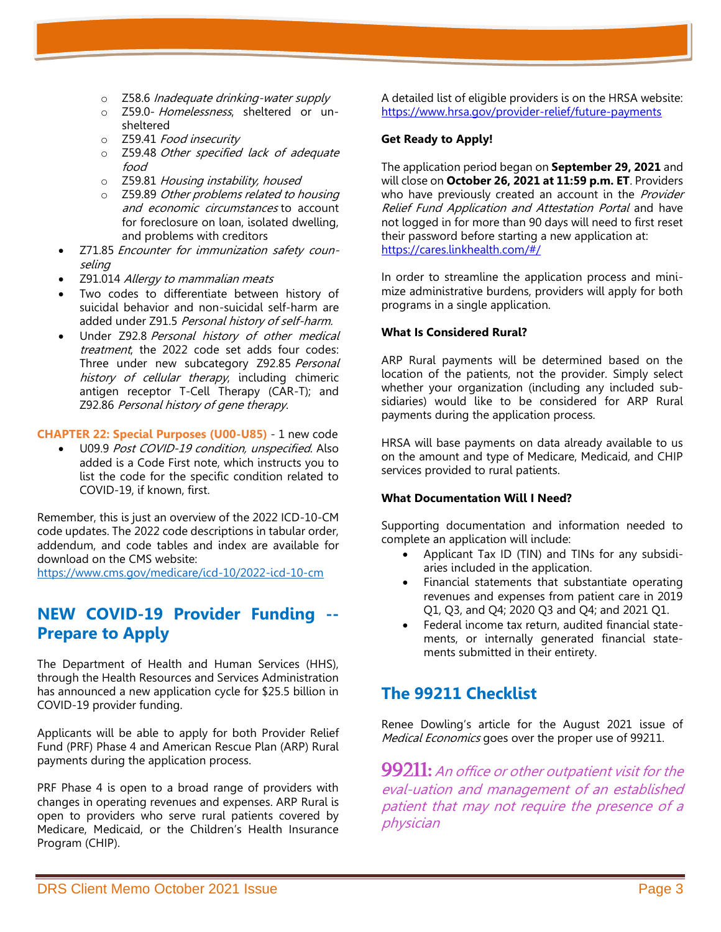- o Z58.6 Inadequate drinking-water supply
- o Z59.0- Homelessness, sheltered or unsheltered
- o Z59.41 Food insecurity
- o Z59.48 Other specified lack of adequate food
- o Z59.81 Housing instability, housed
- o Z59.89 Other problems related to housing and economic circumstances to account for foreclosure on loan, isolated dwelling, and problems with creditors
- Z71.85 Encounter for immunization safety counseling
- Z91.014 Allergy to mammalian meats
- Two codes to differentiate between history of suicidal behavior and non-suicidal self-harm are added under Z91.5 Personal history of self-harm.
- Under Z92.8 Personal history of other medical treatment, the 2022 code set adds four codes: Three under new subcategory Z92.85 Personal history of cellular therapy, including chimeric antigen receptor T-Cell Therapy (CAR-T); and Z92.86 Personal history of gene therapy.

#### **CHAPTER 22: Special Purposes (U00-U85)** - 1 new code

• U09.9 Post COVID-19 condition, unspecified. Also added is a Code First note, which instructs you to list the code for the specific condition related to COVID-19, if known, first.

Remember, this is just an overview of the 2022 ICD-10-CM code updates. The 2022 code descriptions in tabular order, addendum, and code tables and index are available for download on the CMS website:

<https://www.cms.gov/medicare/icd-10/2022-icd-10-cm>

# **NEW COVID-19 Provider Funding -- Prepare to Apply**

The Department of Health and Human Services (HHS), through the Health Resources and Services Administration has announced a new application cycle for \$25.5 billion in COVID-19 provider funding.

Applicants will be able to apply for both [Provider Relief](https://lnks.gd/l/eyJhbGciOiJIUzI1NiJ9.eyJidWxsZXRpbl9saW5rX2lkIjoxMDAsInVyaSI6ImJwMjpjbGljayIsImJ1bGxldGluX2lkIjoiMjAyMTA5MjguNDY1NTMwNzEiLCJ1cmwiOiJodHRwczovL3d3dy5ocnNhLmdvdi9wcm92aWRlci1yZWxpZWYvZnV0dXJlLXBheW1lbnRzIn0.tNRropwbTGjaJzGDSEVglRfXBFvEQmWMdQqwTAhe1qA/s/419839286/br/112993081172-l)  [Fund \(PRF\) Phase 4 and American Rescue Plan \(ARP\) Rural](https://lnks.gd/l/eyJhbGciOiJIUzI1NiJ9.eyJidWxsZXRpbl9saW5rX2lkIjoxMDAsInVyaSI6ImJwMjpjbGljayIsImJ1bGxldGluX2lkIjoiMjAyMTA5MjguNDY1NTMwNzEiLCJ1cmwiOiJodHRwczovL3d3dy5ocnNhLmdvdi9wcm92aWRlci1yZWxpZWYvZnV0dXJlLXBheW1lbnRzIn0.tNRropwbTGjaJzGDSEVglRfXBFvEQmWMdQqwTAhe1qA/s/419839286/br/112993081172-l)  [payments](https://lnks.gd/l/eyJhbGciOiJIUzI1NiJ9.eyJidWxsZXRpbl9saW5rX2lkIjoxMDAsInVyaSI6ImJwMjpjbGljayIsImJ1bGxldGluX2lkIjoiMjAyMTA5MjguNDY1NTMwNzEiLCJ1cmwiOiJodHRwczovL3d3dy5ocnNhLmdvdi9wcm92aWRlci1yZWxpZWYvZnV0dXJlLXBheW1lbnRzIn0.tNRropwbTGjaJzGDSEVglRfXBFvEQmWMdQqwTAhe1qA/s/419839286/br/112993081172-l) during the application process.

PRF Phase 4 is open to a broad range of providers with changes in operating revenues and expenses. ARP Rural is open to providers who serve rural patients covered by Medicare, Medicaid, or the Children's Health Insurance Program (CHIP).

A detailed list of eligible providers is on the HRSA website: <https://www.hrsa.gov/provider-relief/future-payments>

#### **Get Ready to Apply!**

The application period began on **September 29, 2021** and will close on **October 26, 2021 at 11:59 p.m. ET**. Providers who have previously created an account in the Provider [Relief Fund Application and Attestation Portal](https://lnks.gd/l/eyJhbGciOiJIUzI1NiJ9.eyJidWxsZXRpbl9saW5rX2lkIjoxMDIsInVyaSI6ImJwMjpjbGljayIsImJ1bGxldGluX2lkIjoiMjAyMTA5MjguNDY1NTMwNzEiLCJ1cmwiOiJodHRwczovL2NhcmVzLmxpbmtoZWFsdGguY29tLyJ9.2jtSTdLxDWyHfYjefh8ROGvW16e5UTlrSUfrGe6U4SY/s/419839286/br/112993081172-l) and have not logged in for more than 90 days will need to first reset their password before starting a new application at: <https://cares.linkhealth.com/#/>

In order to streamline the application process and minimize administrative burdens, providers will apply for both programs in a single application.

#### **What Is Considered Rural?**

ARP Rural payments will be determined based on the location of the patients, not the provider. Simply select whether your organization (including any included subsidiaries) would like to be considered for ARP Rural payments during the application process.

HRSA will base payments on data already available to us on the amount and type of Medicare, Medicaid, and CHIP services provided to rural patients.

#### **What Documentation Will I Need?**

Supporting documentation and information needed to complete an application will include:

- Applicant Tax ID (TIN) and TINs for any subsidiaries included in the application.
- Financial statements that substantiate operating revenues and expenses from patient care in 2019 Q1, Q3, and Q4; 2020 Q3 and Q4; and 2021 Q1.
- Federal income tax return, audited financial statements, or internally generated financial statements submitted in their entirety.

## **The 99211 Checklist**

Renee Dowling's article for the August 2021 issue of Medical Economics goes over the proper use of 99211.

99211: An office or other outpatient visit for the eval-uation and management of an established patient that may not require the presence of a physician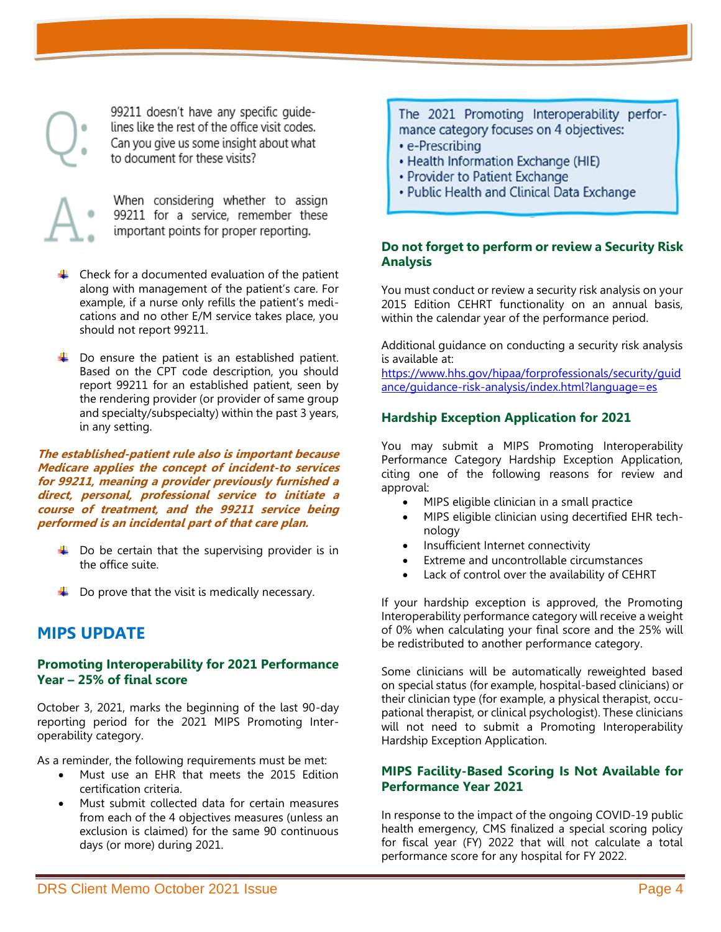99211 doesn't have any specific quidelines like the rest of the office visit codes. Can you give us some insight about what to document for these visits?



When considering whether to assign 99211 for a service, remember these important points for proper reporting.

- $\downarrow$  Check for a documented evaluation of the patient along with management of the patient's care. For example, if a nurse only refills the patient's medications and no other E/M service takes place, you should not report 99211.
- $\downarrow$  Do ensure the patient is an established patient. Based on the CPT code description, you should report 99211 for an established patient, seen by the rendering provider (or provider of same group and specialty/subspecialty) within the past 3 years, in any setting.

**The established-patient rule also is important because Medicare applies the concept of incident-to services for 99211, meaning a provider previously furnished a direct, personal, professional service to initiate a course of treatment, and the 99211 service being performed is an incidental part of that care plan.** 

- $\downarrow$  Do be certain that the supervising provider is in the office suite.
- $\downarrow$  Do prove that the visit is medically necessary.

## **MIPS UPDATE**

#### **Promoting Interoperability for 2021 Performance Year – 25% of final score**

October 3, 2021, marks the beginning of the last 90-day reporting period for the 2021 MIPS Promoting Interoperability category.

As a reminder, the following requirements must be met:

- Must use an EHR that meets the 2015 Edition certification criteria.
- Must submit collected data for certain measures from each of the 4 objectives measures (unless an exclusion is claimed) for the same 90 continuous days (or more) during 2021.

The 2021 Promoting Interoperability performance category focuses on 4 objectives:

- e-Prescribing
- Health Information Exchange (HIE)
- Provider to Patient Exchange
- Public Health and Clinical Data Exchange

#### **Do not forget to perform or review a Security Risk Analysis**

You must conduct or review a security risk analysis on your 2015 Edition CEHRT functionality on an annual basis, within the calendar year of the performance period.

Additional guidance on conducting a security risk analysis is available at:

[https://www.hhs.gov/hipaa/forprofessionals/security/guid](https://www.hhs.gov/hipaa/forprofessionals/security/guidance/guidance-risk-analysis/index.html?language=es) [ance/guidance-risk-analysis/index.html?language=es](https://www.hhs.gov/hipaa/forprofessionals/security/guidance/guidance-risk-analysis/index.html?language=es)

### **Hardship Exception Application for 2021**

You may submit a MIPS Promoting Interoperability Performance Category Hardship Exception Application, citing one of the following reasons for review and approval:

- MIPS eligible clinician in a small practice
- MIPS eligible clinician using decertified EHR technology
- Insufficient Internet connectivity
- Extreme and uncontrollable circumstances
- Lack of control over the availability of CEHRT

If your hardship exception is approved, the Promoting Interoperability performance category will receive a weight of 0% when calculating your final score and the 25% will be redistributed to another performance category.

Some clinicians will be automatically reweighted based on special status (for example, hospital-based clinicians) or their clinician type (for example, a physical therapist, occupational therapist, or clinical psychologist). These clinicians will not need to submit a Promoting Interoperability Hardship Exception Application.

#### **MIPS Facility-Based Scoring Is Not Available for Performance Year 2021**

In response to the impact of the ongoing COVID-19 public health emergency, CMS finalized a special scoring policy for fiscal year (FY) 2022 that will not calculate a total performance score for any hospital for FY 2022.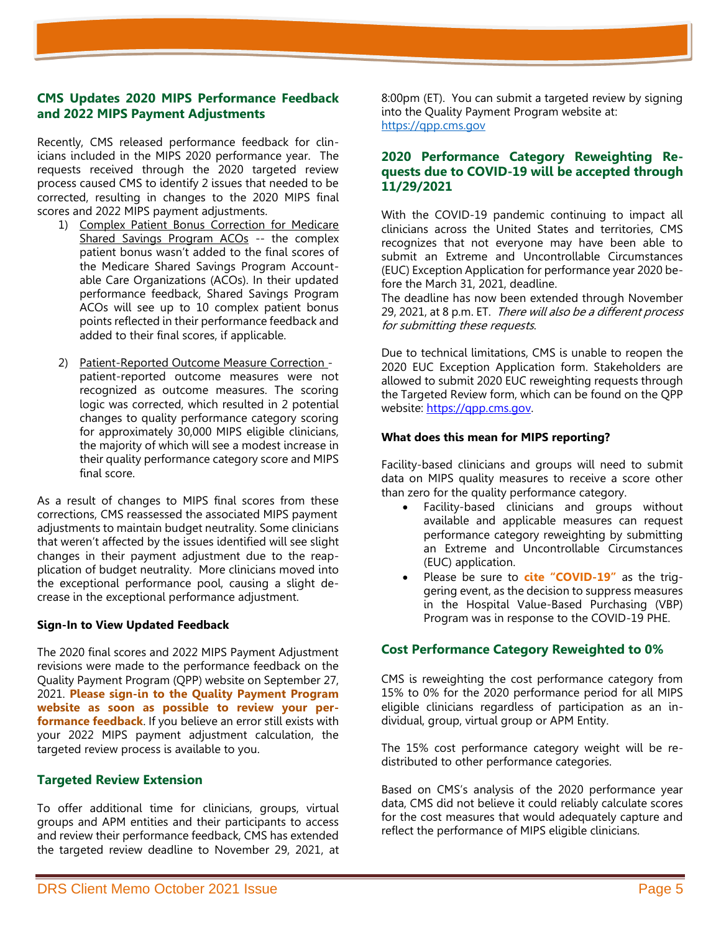#### **CMS Updates 2020 MIPS Performance Feedback and 2022 MIPS Payment Adjustments**

Recently, CMS released performance feedback for clinicians included in the MIPS 2020 performance year. The requests received through the 2020 targeted review process caused CMS to identify 2 issues that needed to be corrected, resulting in changes to the 2020 MIPS final scores and 2022 MIPS payment adjustments.

- 1) Complex Patient Bonus Correction for Medicare Shared Savings Program ACOs -- the complex patient bonus wasn't added to the final scores of the Medicare Shared Savings Program Accountable Care Organizations (ACOs). In their updated performance feedback, Shared Savings Program ACOs will see up to 10 complex patient bonus points reflected in their performance feedback and added to their final scores, if applicable.
- 2) Patient-Reported Outcome Measure Correction patient-reported outcome measures were not recognized as outcome measures. The scoring logic was corrected, which resulted in 2 potential changes to quality performance category scoring for approximately 30,000 MIPS eligible clinicians, the majority of which will see a modest increase in their quality performance category score and MIPS final score.

As a result of changes to MIPS final scores from these corrections, CMS reassessed the associated MIPS payment adjustments to maintain budget neutrality. Some clinicians that weren't affected by the issues identified will see slight changes in their payment adjustment due to the reapplication of budget neutrality. More clinicians moved into the exceptional performance pool, causing a slight decrease in the exceptional performance adjustment.

#### **Sign-In to View Updated Feedback**

The 2020 final scores and 2022 MIPS Payment Adjustment revisions were made to the performance feedback on the Quality Payment Program (QPP) website on September 27, 2021. **Please sign-in to the Quality Payment Program website as soon as possible to review your performance feedback**. If you believe an error still exists with your 2022 MIPS payment adjustment calculation, the targeted review process is available to you.

#### **Targeted Review Extension**

To offer additional time for clinicians, groups, virtual groups and APM entities and their participants to access and review their performance feedback, CMS has extended the targeted review deadline to November 29, 2021, at

8:00pm (ET). You can submit a targeted review by signing into the Quality Payment Program website at: [https://qpp.cms.gov](https://qpp.cms.gov/)

#### **2020 Performance Category Reweighting Requests due to COVID-19 will be accepted through 11/29/2021**

With the COVID-19 pandemic continuing to impact all clinicians across the United States and territories, CMS recognizes that not everyone may have been able to submit an Extreme and Uncontrollable Circumstances (EUC) Exception Application for performance year 2020 before the March 31, 2021, deadline.

The deadline has now been extended through November 29, 2021, at 8 p.m. ET. There will also be a different process for submitting these requests.

Due to technical limitations, CMS is unable to reopen the 2020 EUC Exception Application form. Stakeholders are allowed to submit 2020 EUC reweighting requests through the Targeted Review form, which can be found on the QPP website: https://gpp.cms.gov.

#### **What does this mean for MIPS reporting?**

Facility-based clinicians and groups will need to submit data on MIPS quality measures to receive a score other than zero for the quality performance category.

- Facility-based clinicians and groups without available and applicable measures can request performance category reweighting by submitting an Extreme and Uncontrollable Circumstances (EUC) application.
- Please be sure to **cite "COVID-19"** as the triggering event, as the decision to suppress measures in the Hospital Value-Based Purchasing (VBP) Program was in response to the COVID-19 PHE.

#### **Cost Performance Category Reweighted to 0%**

CMS is reweighting the cost performance category from 15% to 0% for the 2020 performance period for all MIPS eligible clinicians regardless of participation as an individual, group, virtual group or APM Entity.

The 15% cost performance category weight will be redistributed to other performance categories.

Based on CMS's analysis of the 2020 performance year data, CMS did not believe it could reliably calculate scores for the cost measures that would adequately capture and reflect the performance of MIPS eligible clinicians.